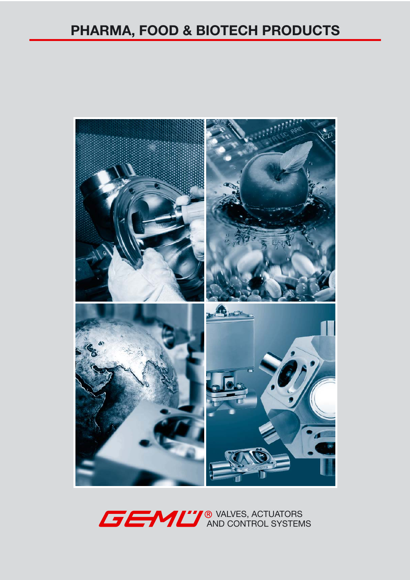## **PHARMA, FOOD & BIOTECH PRODUCTS**



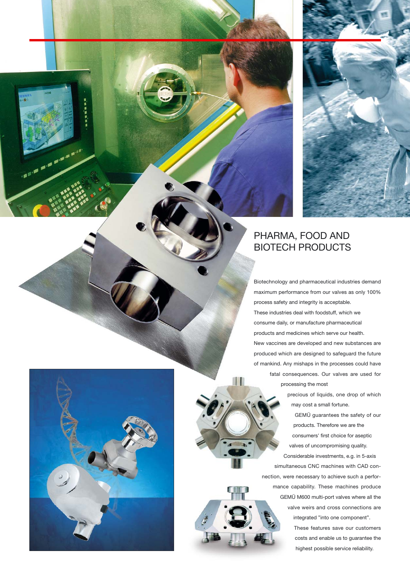

## PHARMA, FOOD AND BIOTECH PRODUCTS

Biotechnology and pharmaceutical industries demand maximum performance from our valves as only 100% process safety and integrity is acceptable. These industries deal with foodstuff, which we consume daily, or manufacture pharmaceutical products and medicines which serve our health. New vaccines are developed and new substances are produced which are designed to safeguard the future of mankind. Any mishaps in the processes could have fatal consequences. Our valves are used for processing the most

precious of liquids, one drop of which may cost a small fortune.

GEMÜ guarantees the safety of our products. Therefore we are the consumers' first choice for aseptic valves of uncompromising quality. Considerable investments, e.g. in 5-axis simultaneous CNC machines with CAD connection, were necessary to achieve such a performance capability. These machines produce GEMÜ M600 multi-port valves where all the valve weirs and cross connections are integrated "into one component". These features save our customers costs and enable us to guarantee the highest possible service reliability.



**CONTRACTOR**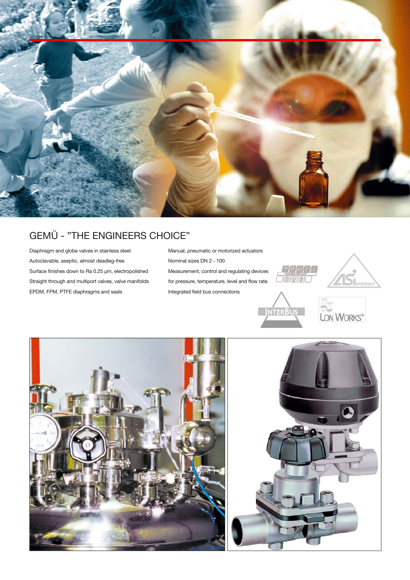

## GEMÜ - "THE ENGINEERS CHOICE"

Diaphragm and globe valves in stainless steel Autoclavable, aseptic, almost deadleg-free Surface finishes down to Ra 0.25 µm, electropolished Straight through and multiport valves, valve manifolds EPDM, FPM, PTFE diaphragms and seals

Manual, pneumatic or motorized actuators Nominal sizes DN 2 - 100 Measurement, control and regulating devices for pressure, temperature, level and flow rate Integrated field bus connections